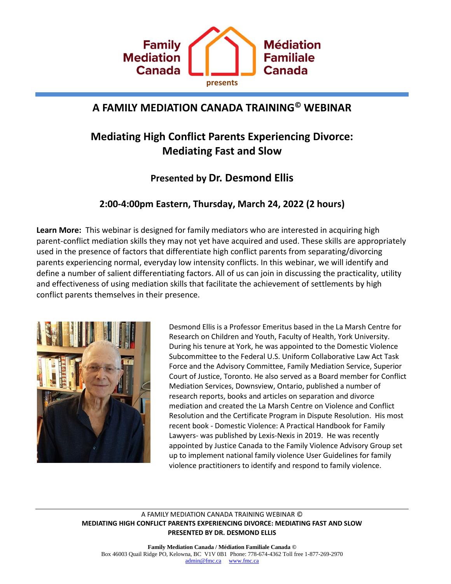

# **A FAMILY MEDIATION CANADA TRAINING© WEBINAR**

# **Mediating High Conflict Parents Experiencing Divorce: Mediating Fast and Slow**

## **Presented by Dr. Desmond Ellis**

## **2:00-4:00pm Eastern, Thursday, March 24, 2022 (2 hours)**

**Learn More:** This webinar is designed for family mediators who are interested in acquiring high parent-conflict mediation skills they may not yet have acquired and used. These skills are appropriately used in the presence of factors that differentiate high conflict parents from separating/divorcing parents experiencing normal, everyday low intensity conflicts. In this webinar, we will identify and define a number of salient differentiating factors. All of us can join in discussing the practicality, utility and effectiveness of using mediation skills that facilitate the achievement of settlements by high conflict parents themselves in their presence.



Desmond Ellis is a Professor Emeritus based in the La Marsh Centre for Research on Children and Youth, Faculty of Health, York University. During his tenure at York, he was appointed to the Domestic Violence Subcommittee to the Federal U.S. Uniform Collaborative Law Act Task Force and the Advisory Committee, Family Mediation Service, Superior Court of Justice, Toronto. He also served as a Board member for Conflict Mediation Services, Downsview, Ontario, published a number of research reports, books and articles on separation and divorce mediation and created the La Marsh Centre on Violence and Conflict Resolution and the Certificate Program in Dispute Resolution. His most recent book - Domestic Violence: A Practical Handbook for Family Lawyers- was published by Lexis-Nexis in 2019. He was recently appointed by Justice Canada to the Family Violence Advisory Group set up to implement national family violence User Guidelines for family violence practitioners to identify and respond to family violence.

#### A FAMILY MEDIATION CANADA TRAINING WEBINAR © **MEDIATING HIGH CONFLICT PARENTS EXPERIENCING DIVORCE: MEDIATING FAST AND SLOW PRESENTED BY DR. DESMOND ELLIS**

**Family Mediation Canada / Médiation Familiale Canada ©** Box 46003 Quail Ridge PO, Kelowna, BC V1V 0B1 Phone: 778-674-4362 Toll free 1-877-269-2970 [admin@fmc.ca](mailto:admin@fmc.ca) [www.fmc.ca](http://www.fmc.ca/)